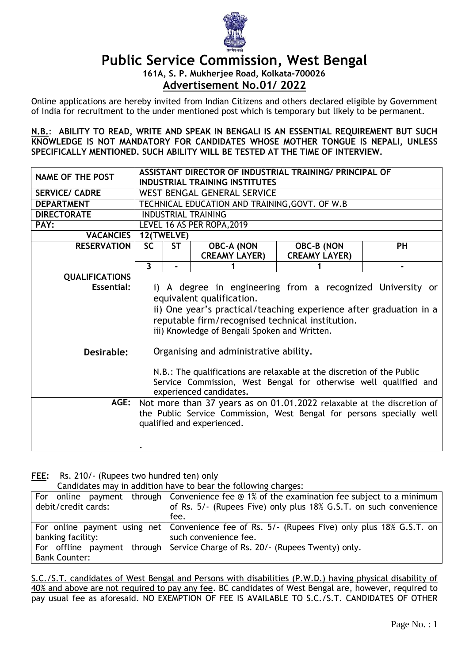

## **Public Service Commission, West Bengal**

**161A, S. P. Mukherjee Road, Kolkata-700026 Advertisement No.01/ 2022**

Online applications are hereby invited from Indian Citizens and others declared eligible by Government of India for recruitment to the under mentioned post which is temporary but likely to be permanent.

**N.B.**: **ABILITY TO READ, WRITE AND SPEAK IN BENGALI IS AN ESSENTIAL REQUIREMENT BUT SUCH KNOWLEDGE IS NOT MANDATORY FOR CANDIDATES WHOSE MOTHER TONGUE IS NEPALI, UNLESS SPECIFICALLY MENTIONED. SUCH ABILITY WILL BE TESTED AT THE TIME OF INTERVIEW.**

| ASSISTANT DIRECTOR OF INDUSTRIAL TRAINING/ PRINCIPAL OF<br><b>INDUSTRIAL TRAINING INSTITUTES</b> |                                      |           |                                           |                                                                                                                                                                                          |
|--------------------------------------------------------------------------------------------------|--------------------------------------|-----------|-------------------------------------------|------------------------------------------------------------------------------------------------------------------------------------------------------------------------------------------|
| WEST BENGAL GENERAL SERVICE                                                                      |                                      |           |                                           |                                                                                                                                                                                          |
| TECHNICAL EDUCATION AND TRAINING, GOVT. OF W.B                                                   |                                      |           |                                           |                                                                                                                                                                                          |
| <b>INDUSTRIAL TRAINING</b>                                                                       |                                      |           |                                           |                                                                                                                                                                                          |
| LEVEL 16 AS PER ROPA, 2019                                                                       |                                      |           |                                           |                                                                                                                                                                                          |
| <b>VACANCIES</b><br>12(TWELVE)                                                                   |                                      |           |                                           |                                                                                                                                                                                          |
|                                                                                                  |                                      |           |                                           | <b>PH</b>                                                                                                                                                                                |
|                                                                                                  |                                      |           |                                           |                                                                                                                                                                                          |
|                                                                                                  |                                      |           |                                           |                                                                                                                                                                                          |
|                                                                                                  |                                      |           |                                           |                                                                                                                                                                                          |
| i) A degree in engineering from a recognized University or                                       |                                      |           |                                           |                                                                                                                                                                                          |
| equivalent qualification.                                                                        |                                      |           |                                           |                                                                                                                                                                                          |
| ii) One year's practical/teaching experience after graduation in a                               |                                      |           |                                           |                                                                                                                                                                                          |
|                                                                                                  |                                      |           |                                           |                                                                                                                                                                                          |
|                                                                                                  |                                      |           |                                           |                                                                                                                                                                                          |
|                                                                                                  |                                      |           |                                           |                                                                                                                                                                                          |
|                                                                                                  |                                      |           |                                           |                                                                                                                                                                                          |
|                                                                                                  |                                      |           |                                           |                                                                                                                                                                                          |
| N.B.: The qualifications are relaxable at the discretion of the Public                           |                                      |           |                                           |                                                                                                                                                                                          |
| Service Commission, West Bengal for otherwise well qualified and                                 |                                      |           |                                           |                                                                                                                                                                                          |
| experienced candidates.                                                                          |                                      |           |                                           |                                                                                                                                                                                          |
| AGE:<br>Not more than 37 years as on 01.01.2022 relaxable at the discretion of                   |                                      |           |                                           |                                                                                                                                                                                          |
| the Public Service Commission, West Bengal for persons specially well                            |                                      |           |                                           |                                                                                                                                                                                          |
| qualified and experienced.                                                                       |                                      |           |                                           |                                                                                                                                                                                          |
|                                                                                                  |                                      |           |                                           |                                                                                                                                                                                          |
|                                                                                                  |                                      |           |                                           |                                                                                                                                                                                          |
| <b>QUALIFICATIONS</b>                                                                            | <b>SC</b><br>$\overline{\mathbf{3}}$ | <b>ST</b> | <b>OBC-A (NON</b><br><b>CREAMY LAYER)</b> | <b>OBC-B (NON</b><br><b>CREAMY LAYER)</b><br>reputable firm/recognised technical institution.<br>iii) Knowledge of Bengali Spoken and Written.<br>Organising and administrative ability. |

**FEE:** Rs. 210/- (Rupees two hundred ten) only

Candidates may in addition have to bear the following charges:

|                      | For online payment through Convenience fee $\odot$ 1% of the examination fee subject to a minimum |  |
|----------------------|---------------------------------------------------------------------------------------------------|--|
| debit/credit cards:  | of Rs. 5/- (Rupees Five) only plus 18% G.S.T. on such convenience                                 |  |
|                      | fee.                                                                                              |  |
|                      | For online payment using net   Convenience fee of Rs. 5/- (Rupees Five) only plus 18% G.S.T. on   |  |
| banking facility:    | such convenience fee.                                                                             |  |
|                      | For offline payment through Service Charge of Rs. 20/- (Rupees Twenty) only.                      |  |
| <b>Bank Counter:</b> |                                                                                                   |  |

S.C./S.T. candidates of West Bengal and Persons with disabilities (P.W.D.) having physical disability of 40% and above are not required to pay any fee. BC candidates of West Bengal are, however, required to pay usual fee as aforesaid. NO EXEMPTION OF FEE IS AVAILABLE TO S.C. / S.T. CANDIDATES OF OTHER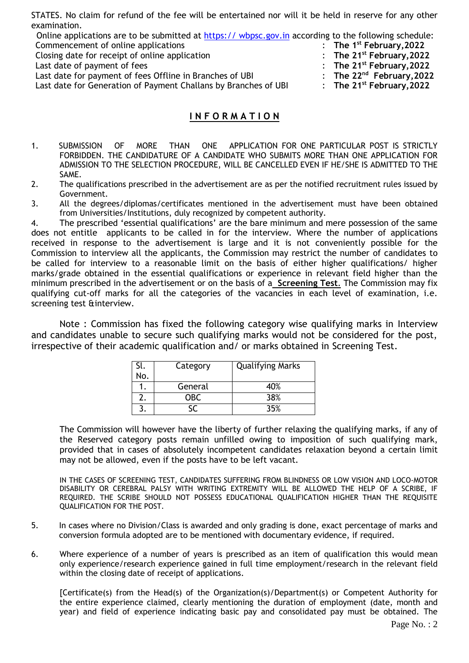STATES. No claim for refund of the fee will be entertained nor will it be held in reserve for any other examination.

| Online applications are to be submitted at https:// wbpsc.gov.in according to the following schedule: |                                                  |
|-------------------------------------------------------------------------------------------------------|--------------------------------------------------|
| Commencement of online applications                                                                   | $\therefore$ The 1 <sup>st</sup> February, 2022  |
| Closing date for receipt of online application                                                        | : The $21^{st}$ February, 2022                   |
| Last date of payment of fees                                                                          | : The $21^{st}$ February, 2022                   |
| Last date for payment of fees Offline in Branches of UBI                                              | : The $22^{nd}$ February, 2022                   |
| Last date for Generation of Payment Challans by Branches of UBI                                       | $\therefore$ The 21 <sup>st</sup> February, 2022 |
|                                                                                                       |                                                  |

## **I N F O R M A T I O N**

- 1. SUBMISSION OF MORE THAN ONE APPLICATION FOR ONE PARTICULAR POST IS STRICTLY FORBIDDEN. THE CANDIDATURE OF A CANDIDATE WHO SUBMITS MORE THAN ONE APPLICATION FOR ADMISSION TO THE SELECTION PROCEDURE, WILL BE CANCELLED EVEN IF HE/SHE IS ADMITTED TO THE SAME.
- 2. The qualifications prescribed in the advertisement are as per the notified recruitment rules issued by Government.
- 3. All the degrees/diplomas/certificates mentioned in the advertisement must have been obtained from Universities/Institutions, duly recognized by competent authority.

4. The prescribed 'essential qualifications' are the bare minimum and mere possession of the same does not entitle applicants to be called in for the interview. Where the number of applications received in response to the advertisement is large and it is not conveniently possible for the Commission to interview all the applicants, the Commission may restrict the number of candidates to be called for interview to a reasonable limit on the basis of either higher qualifications/ higher marks/grade obtained in the essential qualifications or experience in relevant field higher than the minimum prescribed in the advertisement or on the basis of a **Screening Test**. The Commission may fix qualifying cut-off marks for all the categories of the vacancies in each level of examination, i.e. screening test &interview.

Note : Commission has fixed the following category wise qualifying marks in Interview and candidates unable to secure such qualifying marks would not be considered for the post, irrespective of their academic qualification and/ or marks obtained in Screening Test. 

| Sl. | Category | <b>Qualifying Marks</b> |
|-----|----------|-------------------------|
| No. |          |                         |
|     | General  | 40%                     |
|     | OBC.     | 38%                     |
|     |          | 35%                     |

The Commission will however have the liberty of further relaxing the qualifying marks, if any of the Reserved category posts remain unfilled owing to imposition of such qualifying mark, provided that in cases of absolutely incompetent candidates relaxation beyond a certain limit may not be allowed, even if the posts have to be left vacant.

IN THE CASES OF SCREENING TEST, CANDIDATES SUFFERING FROM BLINDNESS OR LOW VISION AND LOCO-MOTOR DISABILITY OR CEREBRAL PALSY WITH WRITING EXTREMITY WILL BE ALLOWED THE HELP OF A SCRIBE, IF REQUIRED. THE SCRIBE SHOULD NOT POSSESS EDUCATIONAL QUALIFICATION HIGHER THAN THE REQUISITE QUALIFICATION FOR THE POST.

- 5. In cases where no Division/Class is awarded and only grading is done, exact percentage of marks and conversion formula adopted are to be mentioned with documentary evidence, if required.
- 6. Where experience of a number of years is prescribed as an item of qualification this would mean only experience/research experience gained in full time employment/research in the relevant field within the closing date of receipt of applications.

[Certificate(s) from the Head(s) of the Organization(s)/Department(s) or Competent Authority for the entire experience claimed, clearly mentioning the duration of employment (date, month and year) and field of experience indicating basic pay and consolidated pay must be obtained. The